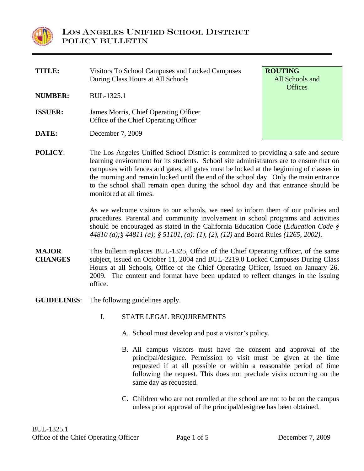

| TITLE:         | Visitors To School Campuses and Locked Campuses<br>During Class Hours at All Schools | <b>ROUTING</b><br>All Schools and<br><b>Offices</b> |
|----------------|--------------------------------------------------------------------------------------|-----------------------------------------------------|
| <b>NUMBER:</b> | BUL-1325.1                                                                           |                                                     |
| <b>ISSUER:</b> | James Morris, Chief Operating Officer<br>Office of the Chief Operating Officer       |                                                     |
| DATE:          | December 7, 2009                                                                     |                                                     |
| <b>POLICY:</b> | The Los Angeles Unified School District is committed to providing a safe and secure  |                                                     |

learning environment for its students. School site administrators are to ensure that on campuses with fences and gates, all gates must be locked at the beginning of classes in the morning and remain locked until the end of the school day. Only the main entrance to the school shall remain open during the school day and that entrance should be monitored at all times.

> As we welcome visitors to our schools, we need to inform them of our policies and procedures. Parental and community involvement in school programs and activities should be encouraged as stated in the California Education Code (*Education Code § 44810 (a);§ 44811 (a); § 51101, (a): (1), (2), (12)* and Board Rules *(1265, 2002)*.

- **MAJOR CHANGES**  This bulletin replaces BUL-1325, Office of the Chief Operating Officer, of the same subject, issued on October 11, 2004 and BUL-2219.0 Locked Campuses During Class Hours at all Schools, Office of the Chief Operating Officer, issued on January 26, 2009. The content and format have been updated to reflect changes in the issuing office.
- **GUIDELINES**: The following guidelines apply.
	- I. STATE LEGAL REQUIREMENTS
		- A. School must develop and post a visitor's policy.
		- B. All campus visitors must have the consent and approval of the principal/designee. Permission to visit must be given at the time requested if at all possible or within a reasonable period of time following the request. This does not preclude visits occurring on the same day as requested.
		- C. Children who are not enrolled at the school are not to be on the campus unless prior approval of the principal/designee has been obtained.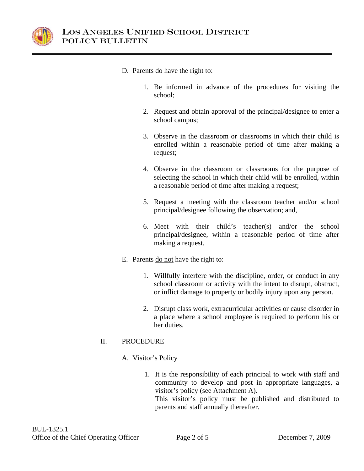

- D. Parents <u>do</u> have the right to:
	- 1. Be informed in advance of the procedures for visiting the school;
	- 2. Request and obtain approval of the principal/designee to enter a school campus;
	- 3. Observe in the classroom or classrooms in which their child is enrolled within a reasonable period of time after making a request;
	- 4. Observe in the classroom or classrooms for the purpose of selecting the school in which their child will be enrolled, within a reasonable period of time after making a request;
	- 5. Request a meeting with the classroom teacher and/or school principal/designee following the observation; and,
	- 6. Meet with their child's teacher(s) and/or the school principal/designee, within a reasonable period of time after making a request.
- E. Parents do not have the right to:
	- 1. Willfully interfere with the discipline, order, or conduct in any school classroom or activity with the intent to disrupt, obstruct, or inflict damage to property or bodily injury upon any person.
	- 2. Disrupt class work, extracurricular activities or cause disorder in a place where a school employee is required to perform his or her duties.

## II. PROCEDURE

- A. Visitor's Policy
	- 1. It is the responsibility of each principal to work with staff and community to develop and post in appropriate languages, a visitor's policy (see Attachment A). This visitor's policy must be published and distributed to parents and staff annually thereafter.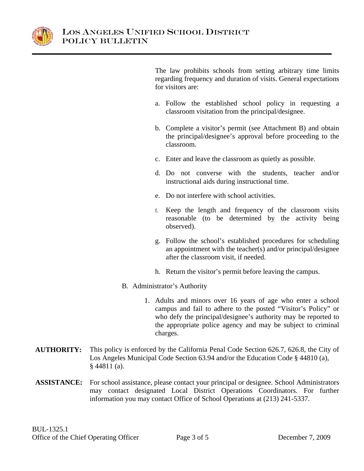

The law prohibits schools from setting arbitrary time limits regarding frequency and duration of visits. General expectations for visitors are:

- a. Follow the established school policy in requesting a classroom visitation from the principal/designee.
- b. Complete a visitor's permit (see Attachment B) and obtain the principal/designee's approval before proceeding to the classroom.
- c. Enter and leave the classroom as quietly as possible.
- d. Do not converse with the students, teacher and/or instructional aids during instructional time.
- e. Do not interfere with school activities.
- f. Keep the length and frequency of the classroom visits reasonable (to be determined by the activity being observed).
- g. Follow the school's established procedures for scheduling an appointment with the teacher(s) and/or principal/designee after the classroom visit, if needed.
- h. Return the visitor's permit before leaving the campus.
- B. Administrator's Authority
	- 1. Adults and minors over 16 years of age who enter a school campus and fail to adhere to the posted "Visitor's Policy" or who defy the principal/designee's authority may be reported to the appropriate police agency and may be subject to criminal charges.
- **AUTHORITY:** This policy is enforced by the California Penal Code Section 626.7, 626.8, the City of Los Angeles Municipal Code Section 63.94 and/or the Education Code § 44810 (a), § 44811 (a).
- **ASSISTANCE:** For school assistance, please contact your principal or designee. School Administrators may contact designated Local District Operations Coordinators. For further information you may contact Office of School Operations at (213) 241-5337.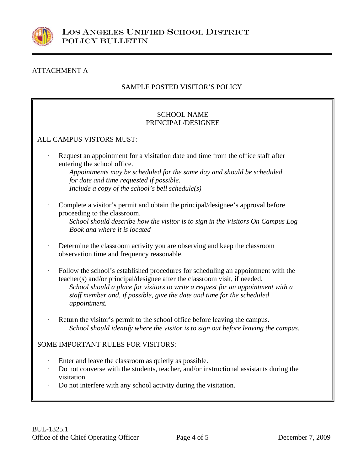

## ATTACHMENT A

## SAMPLE POSTED VISITOR'S POLICY

### SCHOOL NAME PRINCIPAL/DESIGNEE

#### ALL CAMPUS VISTORS MUST:

Request an appointment for a visitation date and time from the office staff after entering the school office.

 *Appointments may be scheduled for the same day and should be scheduled for date and time requested if possible. Include a copy of the school's bell schedule(s)* 

Complete a visitor's permit and obtain the principal/designee's approval before proceeding to the classroom.

 *School should describe how the visitor is to sign in the Visitors On Campus Log Book and where it is located* 

- Determine the classroom activity you are observing and keep the classroom observation time and frequency reasonable.
- Follow the school's established procedures for scheduling an appointment with the teacher(s) and/or principal/designee after the classroom visit, if needed. *School should a place for visitors to write a request for an appointment with a staff member and, if possible, give the date and time for the scheduled appointment.*
- Return the visitor's permit to the school office before leaving the campus. *School should identify where the visitor is to sign out before leaving the campus.*

#### SOME IMPORTANT RULES FOR VISITORS:

- Enter and leave the classroom as quietly as possible.
- Do not converse with the students, teacher, and/or instructional assistants during the visitation.
- Do not interfere with any school activity during the visitation.